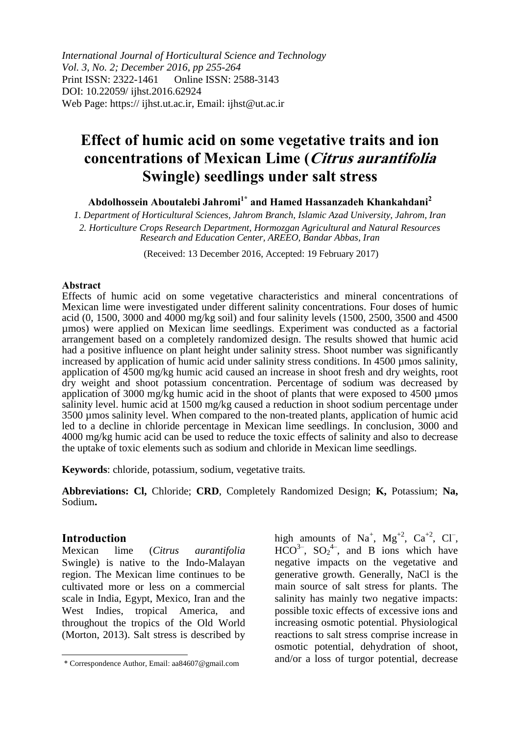*International Journal of Horticultural Science and Technology Vol. 3, No. 2; December 2016, pp 255-264* Print ISSN: 2322-1461 Online ISSN: 2588-3143 DOI: 10.22059/ ijhst.2016.62924 Web Page: https:// ijhst.ut.ac.ir, Email: ijhst@ut.ac.ir

# **Effect of humic acid on some vegetative traits and ion concentrations of Mexican Lime (Citrus aurantifolia Swingle) seedlings under salt stress**

**Abdolhossein Aboutalebi Jahromi1\* and Hamed Hassanzadeh Khankahdani<sup>2</sup>**

*1. Department of Horticultural Sciences, Jahrom Branch, Islamic Azad University, Jahrom, Iran 2. Horticulture Crops Research Department, Hormozgan Agricultural and Natural Resources Research and Education Center, AREEO, Bandar Abbas, Iran*

(Received: 13 December 2016, Accepted: 19 February 2017)

#### **Abstract**

Effects of humic acid on some vegetative characteristics and mineral concentrations of Mexican lime were investigated under different salinity concentrations. Four doses of humic acid (0, 1500, 3000 and 4000 mg/kg soil) and four salinity levels (1500, 2500, 3500 and 4500 µmos) were applied on Mexican lime seedlings. Experiment was conducted as a factorial arrangement based on a completely randomized design. The results showed that humic acid had a positive influence on plant height under salinity stress. Shoot number was significantly increased by application of humic acid under salinity stress conditions. In 4500 µmos salinity, application of 4500 mg/kg humic acid caused an increase in shoot fresh and dry weights, root dry weight and shoot potassium concentration. Percentage of sodium was decreased by application of 3000 mg/kg humic acid in the shoot of plants that were exposed to 4500 µmos salinity level. humic acid at 1500 mg/kg caused a reduction in shoot sodium percentage under 3500 µmos salinity level. When compared to the non-treated plants, application of humic acid led to a decline in chloride percentage in Mexican lime seedlings. In conclusion, 3000 and 4000 mg/kg humic acid can be used to reduce the toxic effects of salinity and also to decrease the uptake of toxic elements such as sodium and chloride in Mexican lime seedlings.

**Keywords**: chloride, potassium, sodium, vegetative traits*.*

**Abbreviations: Cl,** Chloride; **CRD**, Completely Randomized Design; **K,** Potassium; **Na,**  Sodium**.**

## **Introduction**

Mexican lime (*Citrus aurantifolia* Swingle) is native to the Indo-Malayan region. The Mexican lime continues to be cultivated more or less on a commercial scale in India, Egypt, Mexico, Iran and the West Indies, tropical America, and throughout the tropics of the Old World (Morton, 2013). Salt stress is described by

high amounts of Na<sup>+</sup>, Mg<sup>+2</sup>, Ca<sup>+2</sup>, Cl<sup>-</sup>,  $HCO^{3-}$ ,  $SO_2^{4-}$ , and B ions which have negative impacts on the vegetative and generative growth. Generally, NaCl is the main source of salt stress for plants. The salinity has mainly two negative impacts: possible toxic effects of excessive ions and increasing osmotic potential. Physiological reactions to salt stress comprise increase in osmotic potential, dehydration of shoot, and/or a loss of turgor potential, decrease

<sup>\*</sup> Correspondence Author, Email: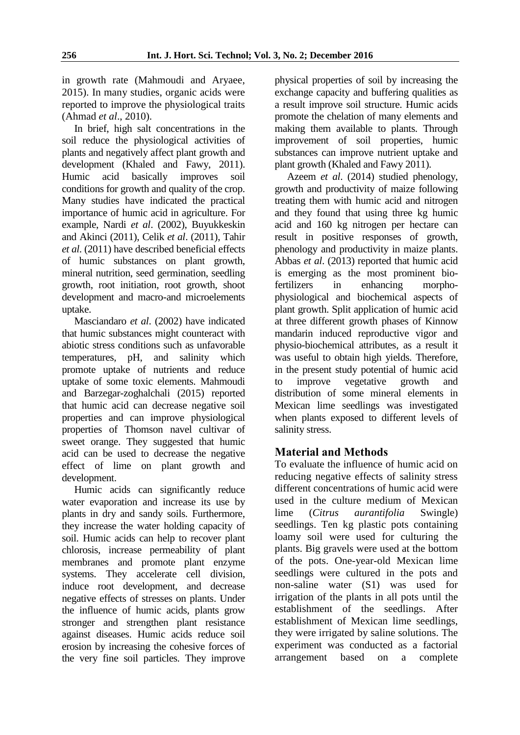in growth rate (Mahmoudi and Aryaee, 2015). In many studies, organic acids were reported to improve the physiological traits (Ahmad *et al*., 2010).

In brief, high salt concentrations in the soil reduce the physiological activities of plants and negatively affect plant growth and development (Khaled and Fawy, 2011). Humic acid basically improves soil conditions for growth and quality of the crop. Many studies have indicated the practical importance of humic acid in agriculture. For example, Nardi *et al*. (2002), Buyukkeskin and Akinci (2011), Celik *et al*. (2011), Tahir *et al*. (2011) have described beneficial effects of humic substances on plant growth, mineral nutrition, seed germination, seedling growth, root initiation, root growth, shoot development and macro-and microelements uptake.

Masciandaro *et al*. (2002) have indicated that humic substances might counteract with abiotic stress conditions such as unfavorable temperatures, pH, and salinity which promote uptake of nutrients and reduce uptake of some toxic elements. Mahmoudi and Barzegar-zoghalchali (2015) reported that humic acid can decrease negative soil properties and can improve physiological properties of Thomson navel cultivar of sweet orange. They suggested that humic acid can be used to decrease the negative effect of lime on plant growth and development.

Humic acids can significantly reduce water evaporation and increase its use by plants in dry and sandy soils. Furthermore, they increase the water holding capacity of soil. Humic acids can help to recover plant chlorosis, increase permeability of plant membranes and promote plant enzyme systems. They accelerate cell division, induce root development, and decrease negative effects of stresses on plants. Under the influence of humic acids, plants grow stronger and strengthen plant resistance against diseases. Humic acids reduce soil erosion by increasing the cohesive forces of the very fine soil particles. They improve physical properties of soil by increasing the exchange capacity and buffering qualities as a result improve soil structure. Humic acids promote the chelation of many elements and making them available to plants. Through improvement of soil properties, humic substances can improve nutrient uptake and plant growth (Khaled and Fawy 2011).

Azeem *et al*. (2014) studied phenology, growth and productivity of maize following treating them with humic acid and nitrogen and they found that using three kg humic acid and 160 kg nitrogen per hectare can result in positive responses of growth, phenology and productivity in maize plants. Abbas *et al*. (2013) reported that humic acid is emerging as the most prominent biofertilizers in enhancing morphophysiological and biochemical aspects of plant growth. Split application of humic acid at three different growth phases of Kinnow mandarin induced reproductive vigor and physio-biochemical attributes, as a result it was useful to obtain high yields. Therefore, in the present study potential of humic acid to improve vegetative growth and distribution of some mineral elements in Mexican lime seedlings was investigated when plants exposed to different levels of salinity stress.

# **Material and Methods**

To evaluate the influence of humic acid on reducing negative effects of salinity stress different concentrations of humic acid were used in the culture medium of Mexican lime (*Citrus aurantifolia* Swingle) seedlings. Ten kg plastic pots containing loamy soil were used for culturing the plants. Big gravels were used at the bottom of the pots. One-year-old Mexican lime seedlings were cultured in the pots and non-saline water (S1) was used for irrigation of the plants in all pots until the establishment of the seedlings. After establishment of Mexican lime seedlings, they were irrigated by saline solutions. The experiment was conducted as a factorial arrangement based on a complete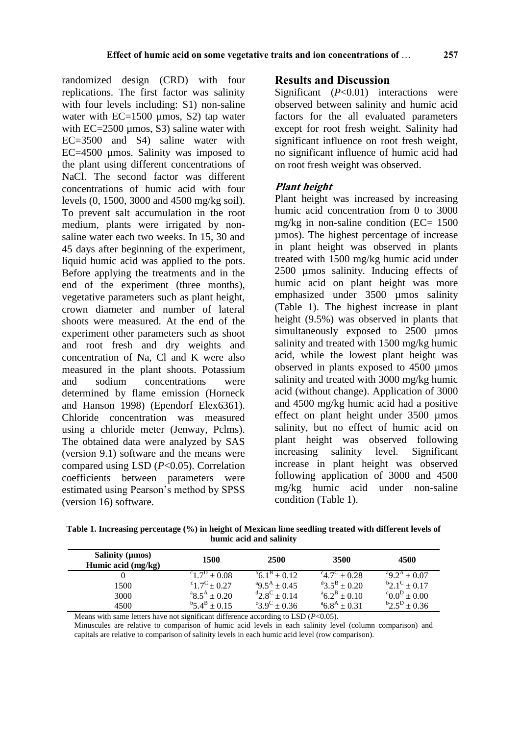randomized design (CRD) with four replications. The first factor was salinity with four levels including: S1) non-saline water with EC=1500 µmos, S2) tap water with  $EC = 2500 \mu \text{mos}$ , S3) saline water with EC=3500 and S4) saline water with EC=4500 µmos. Salinity was imposed to the plant using different concentrations of NaCl. The second factor was different concentrations of humic acid with four levels (0, 1500, 3000 and 4500 mg/kg soil). To prevent salt accumulation in the root medium, plants were irrigated by nonsaline water each two weeks. In 15, 30 and 45 days after beginning of the experiment, liquid humic acid was applied to the pots. Before applying the treatments and in the end of the experiment (three months), vegetative parameters such as plant height, crown diameter and number of lateral shoots were measured. At the end of the experiment other parameters such as shoot and root fresh and dry weights and concentration of Na, Cl and K were also measured in the plant shoots. Potassium and sodium concentrations were determined by flame emission (Horneck and Hanson 1998) (Ependorf Elex6361). Chloride concentration was measured using a chloride meter (Jenway, Pclms). The obtained data were analyzed by SAS (version 9.1) software and the means were compared using LSD (*P*<0.05). Correlation coefficients between parameters were estimated using Pearson's method by SPSS (version 16) software.

# **Results and Discussion**

Significant (*P*<0.01) interactions were observed between salinity and humic acid factors for the all evaluated parameters except for root fresh weight. Salinity had significant influence on root fresh weight, no significant influence of humic acid had on root fresh weight was observed.

# **Plant height**

Plant height was increased by increasing humic acid concentration from 0 to 3000 mg/kg in non-saline condition ( $EC = 1500$ ) µmos). The highest percentage of increase in plant height was observed in plants treated with 1500 mg/kg humic acid under 2500 µmos salinity. Inducing effects of humic acid on plant height was more emphasized under 3500 µmos salinity (Table 1). The highest increase in plant height (9.5%) was observed in plants that simultaneously exposed to 2500 umos salinity and treated with 1500 mg/kg humic acid, while the lowest plant height was observed in plants exposed to 4500 µmos salinity and treated with 3000 mg/kg humic acid (without change). Application of 3000 and 4500 mg/kg humic acid had a positive effect on plant height under 3500 umos salinity, but no effect of humic acid on plant height was observed following increasing salinity level. Significant increase in plant height was observed following application of 3000 and 4500 mg/kg humic acid under non-saline condition (Table 1).

**Table 1. Increasing percentage (%) in height of Mexican lime seedling treated with different levels of humic acid and salinity**

| Salinity (µmos)<br>Humic acid (mg/kg) | 1500                   | <b>2500</b>            | 3500                    | 4500                                      |  |
|---------------------------------------|------------------------|------------------------|-------------------------|-------------------------------------------|--|
|                                       | $^{c}1.7^{D} \pm 0.08$ | $^{6}6.1^{8} + 0.12$   | $^{c}4.7^{c}+0.28$      | $^{a}9.2^{A} \pm 0.07$                    |  |
| 1500                                  | $^{c}1.7^{c}$ + 0.27   | $^{a}9.5^{A} \pm 0.45$ | $^{d}3.5^{B} \pm 0.20$  | $b_{2.1}c_{\pm 0.17}$                     |  |
| 3000                                  | $^{a}8.5^{A} \pm 0.20$ | $^{d}2.8^{C} \pm 0.14$ | $a^{a}6.2^{B} \pm 0.10$ | $^{\circ}0.0^{\text{D}} \pm 0.00^{\circ}$ |  |
| 4500                                  | $^{b}5.4^{b} \pm 0.15$ | $^{c}3.9^{c} \pm 0.36$ | $^{a}6.8^{A} \pm 0.31$  | $b^{\rm b}2.5^{\rm D} \pm 0.36$           |  |

Means with same letters have not significant difference according to LSD (*P*<0.05).

Minuscules are relative to comparison of humic acid levels in each salinity level (column comparison) and capitals are relative to comparison of salinity levels in each humic acid level (row comparison).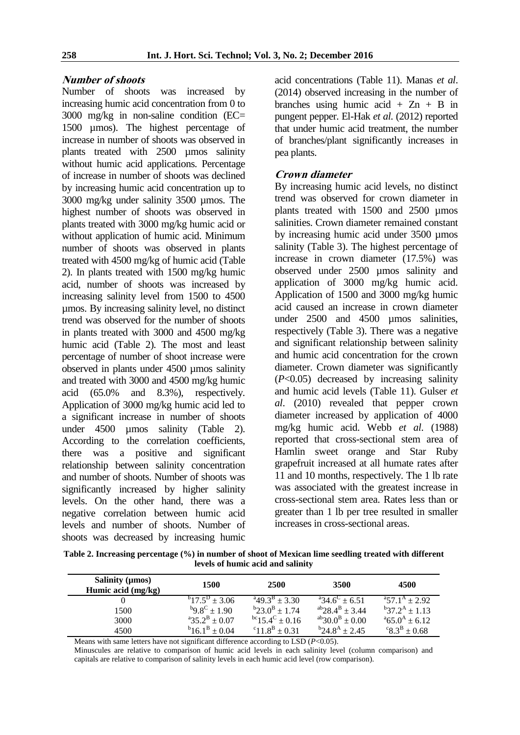#### **Number of shoots**

Number of shoots was increased by increasing humic acid concentration from 0 to 3000 mg/kg in non-saline condition (EC= 1500 µmos). The highest percentage of increase in number of shoots was observed in plants treated with 2500 µmos salinity without humic acid applications. Percentage of increase in number of shoots was declined by increasing humic acid concentration up to 3000 mg/kg under salinity 3500 µmos. The highest number of shoots was observed in plants treated with 3000 mg/kg humic acid or without application of humic acid. Minimum number of shoots was observed in plants treated with 4500 mg/kg of humic acid (Table 2). In plants treated with 1500 mg/kg humic acid, number of shoots was increased by increasing salinity level from 1500 to 4500 µmos. By increasing salinity level, no distinct trend was observed for the number of shoots in plants treated with 3000 and 4500 mg/kg humic acid (Table 2). The most and least percentage of number of shoot increase were observed in plants under 4500 umos salinity and treated with 3000 and 4500 mg/kg humic acid (65.0% and 8.3%), respectively. Application of 3000 mg/kg humic acid led to a significant increase in number of shoots under 4500 µmos salinity (Table 2). According to the correlation coefficients, there was a positive and significant relationship between salinity concentration and number of shoots. Number of shoots was significantly increased by higher salinity levels. On the other hand, there was a negative correlation between humic acid levels and number of shoots. Number of shoots was decreased by increasing humic

acid concentrations (Table 11). Manas *et al*. (2014) observed increasing in the number of branches using humic acid  $+$  Zn  $+$  B in pungent pepper. El-Hak *et al*. (2012) reported that under humic acid treatment, the number of branches/plant significantly increases in pea plants.

#### **Crown diameter**

By increasing humic acid levels, no distinct trend was observed for crown diameter in plants treated with 1500 and 2500 µmos salinities. Crown diameter remained constant by increasing humic acid under 3500 umos salinity (Table 3). The highest percentage of increase in crown diameter (17.5%) was observed under 2500 µmos salinity and application of 3000 mg/kg humic acid. Application of 1500 and 3000 mg/kg humic acid caused an increase in crown diameter under 2500 and 4500 µmos salinities, respectively (Table 3). There was a negative and significant relationship between salinity and humic acid concentration for the crown diameter. Crown diameter was significantly (*P*<0.05) decreased by increasing salinity and humic acid levels (Table 11). Gulser *et al*. (2010) revealed that pepper crown diameter increased by application of 4000 mg/kg humic acid. Webb *et al*. (1988) reported that cross-sectional stem area of Hamlin sweet orange and Star Ruby grapefruit increased at all humate rates after 11 and 10 months, respectively. The 1 lb rate was associated with the greatest increase in cross-sectional stem area. Rates less than or greater than 1 lb per tree resulted in smaller increases in cross-sectional areas.

**Table 2. Increasing percentage (%) in number of shoot of Mexican lime seedling treated with different levels of humic acid and salinity**

| Salinity (µmos)<br>Humic acid (mg/kg) | 1500                         | 2500                                 | 3500                                       | 4500                     |  |
|---------------------------------------|------------------------------|--------------------------------------|--------------------------------------------|--------------------------|--|
|                                       | $^{b}17.5^{D} \pm 3.06$      | $a_4$ 9.3 <sup>B</sup> ± 3.30        | $^{a}34.6^{c} \pm 6.51$                    | $^{a}57.1^{A} \pm 2.92$  |  |
| 1500                                  | $^{b}9.8^{c} \pm 1.90$       | $b^{\rm b}$ 23.0 <sup>B</sup> ± 1.74 | $^{ab}$ 28.4 <sup>B</sup> ± 3.44           | $^{b}37.2^{A} \pm 1.13$  |  |
| 3000                                  | $^{a}35.2^{B} \pm 0.07$      | $^{bc}$ 15.4 <sup>C</sup> ± 0.16     | <sup>ab</sup> 30.0 <sup>B</sup> $\pm$ 0.00 | $^{a}65.0^{A} \pm 6.12$  |  |
| 4500                                  | $b$ 16.1 <sup>B</sup> ± 0.04 | <sup>c</sup> $11.8^B \pm 0.31$       | $b^{\rm b}$ 24.8 <sup>A</sup> + 2.45       | ${}^{c}8.3^{B} \pm 0.68$ |  |

Means with same letters have not significant difference according to LSD (*P*<0.05).

Minuscules are relative to comparison of humic acid levels in each salinity level (column comparison) and capitals are relative to comparison of salinity levels in each humic acid level (row comparison).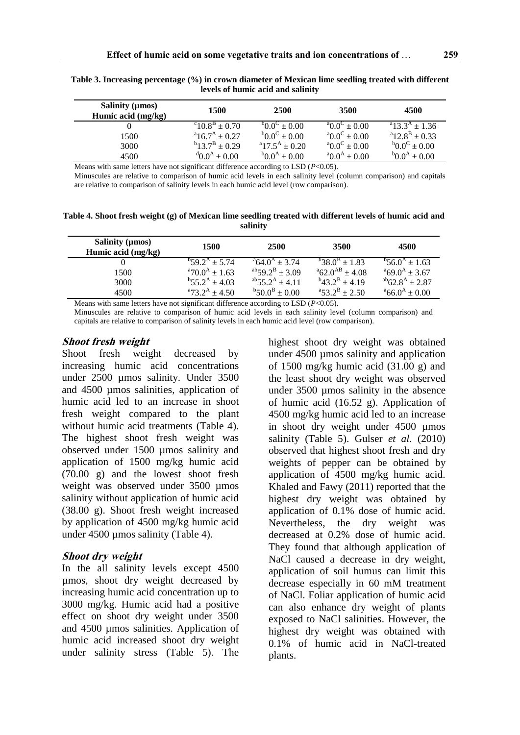| Salinity ( $\mu$ mos)<br>Humic acid (mg/kg) | 1500                           | 2500                   | 3500                                   | 4500                           |  |
|---------------------------------------------|--------------------------------|------------------------|----------------------------------------|--------------------------------|--|
|                                             | $^{c}10.8^{B} \pm 0.70$        | $^{6}0.0^{C} \pm 0.00$ | $^{a}0.0^{c} \pm 0.00$                 | $^{a}13.3^{A}$ + 1.36          |  |
| 1500                                        | $a^2$ 16.7 <sup>A</sup> ± 0.27 | $^{6}0.0^{c} \pm 0.00$ | $^{a}0.0^{c} \pm 0.00$                 | $a^2$ 12.8 <sup>B</sup> + 0.33 |  |
| 3000                                        | $b_{13.7}B_{\pm 0.29}$         | $a_{17.5}A_{\pm}0.20$  | $^{a}0.0^{c} \pm 0.00$                 | $^{6}0.0^{c} \pm 0.00$         |  |
| 4500                                        | $^{d}$ 0.0 <sup>A</sup> ± 0.00 | $^{6}0.0^{4} \pm 0.00$ | $^{\circ}0.0^{\rm A} \pm 0.00^{\circ}$ | $^{b}0.0^{A} \pm 0.00$         |  |

**Table 3. Increasing percentage (%) in crown diameter of Mexican lime seedling treated with different levels of humic acid and salinity**

Means with same letters have not significant difference according to LSD (*P*<0.05).

Minuscules are relative to comparison of humic acid levels in each salinity level (column comparison) and capitals are relative to comparison of salinity levels in each humic acid level (row comparison).

**Table 4. Shoot fresh weight (g) of Mexican lime seedling treated with different levels of humic acid and salinity**

| Salinity (µmos)<br>Humic acid (mg/kg) | 1500                    | <b>2500</b>              | 3500                     | 4500                            |  |
|---------------------------------------|-------------------------|--------------------------|--------------------------|---------------------------------|--|
|                                       | $^{b}59.2^{A} + 5.74$   | $^{a}64.0^{A} + 3.74$    | $^{b}38.0^{B} \pm 1.83$  | $^{b}$ 56.0 <sup>A</sup> + 1.63 |  |
| 1500                                  | $^{a}70.0^{A} \pm 1.63$ | $^{ab}59.2^{B} \pm 3.09$ | $^{a}62.0^{AB} \pm 4.08$ | $^{a}69.0^{A} \pm 3.67$         |  |
| 3000                                  | $^{b}55.2^{A}$ + 4.03   | $^{ab}55.2^{A}$ + 4.11   | $^{b}43.2^{b} \pm 4.19$  | $^{ab}62.8^{A}$ + 2.87          |  |
| 4500                                  | $^{a}73.2^{A}$ + 4.50   | $^{b}50.0^{B} \pm 0.00$  | $^{a}53.2^{b} \pm 2.50$  | $^{a}66.0^{A} \pm 0.00$         |  |

Means with same letters have not significant difference according to LSD (*P*<0.05). Minuscules are relative to comparison of humic acid levels in each salinity level (column comparison) and

capitals are relative to comparison of salinity levels in each humic acid level (row comparison).

#### **Shoot fresh weight**

Shoot fresh weight decreased by increasing humic acid concentrations under 2500 µmos salinity. Under 3500 and 4500 µmos salinities, application of humic acid led to an increase in shoot fresh weight compared to the plant without humic acid treatments (Table 4). The highest shoot fresh weight was observed under 1500 µmos salinity and application of 1500 mg/kg humic acid (70.00 g) and the lowest shoot fresh weight was observed under 3500 umos salinity without application of humic acid (38.00 g). Shoot fresh weight increased by application of 4500 mg/kg humic acid under 4500 µmos salinity (Table 4).

#### **Shoot dry weight**

In the all salinity levels except 4500 µmos, shoot dry weight decreased by increasing humic acid concentration up to 3000 mg/kg. Humic acid had a positive effect on shoot dry weight under 3500 and 4500 µmos salinities. Application of humic acid increased shoot dry weight under salinity stress (Table 5). The

highest shoot dry weight was obtained under 4500 µmos salinity and application of 1500 mg/kg humic acid (31.00 g) and the least shoot dry weight was observed under 3500 µmos salinity in the absence of humic acid (16.52 g). Application of 4500 mg/kg humic acid led to an increase in shoot dry weight under 4500 umos salinity (Table 5). Gulser *et al*. (2010) observed that highest shoot fresh and dry weights of pepper can be obtained by application of 4500 mg/kg humic acid. Khaled and Fawy (2011) reported that the highest dry weight was obtained by application of 0.1% dose of humic acid. Nevertheless, the dry weight was decreased at 0.2% dose of humic acid. They found that although application of NaCl caused a decrease in dry weight, application of soil humus can limit this decrease especially in 60 mM treatment of NaCl. Foliar application of humic acid can also enhance dry weight of plants exposed to NaCl salinities. However, the highest dry weight was obtained with 0.1% of humic acid in NaCl-treated plants.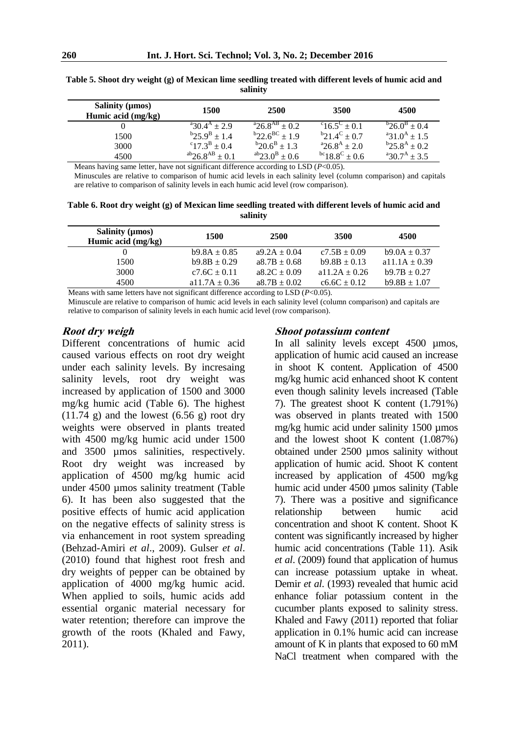| Salinity ( $\mu$ mos)<br>Humic acid (mg/kg) | 1500                                | 2500                                    | 3500                            | 4500                                |
|---------------------------------------------|-------------------------------------|-----------------------------------------|---------------------------------|-------------------------------------|
|                                             | $^{a}30.4^{A}$ + 2.9                | $^{a}26.8^{AB}$ + 0.2                   | $^{c}16.5^{c}$ ± 0.1            | $b^{\rm b}$ 26.0 <sup>B</sup> ± 0.4 |
| 1500                                        | $b^{\rm b}$ 25.9 <sup>B</sup> + 1.4 | $b$ <sub>22.6</sub> <sup>BC</sup> + 1.9 | $b_{21.4}c_{\pm 0.7}$           | $^{a}31.0^{A} \pm 1.5$              |
| 3000                                        | $^{c}17.3^{B} \pm 0.4$              | $b_{20.6}$ <sup>B</sup> ± 1.3           | $^{a}26.8^{A} \pm 2.0$          | $b^{\rm b}$ 25.8 <sup>A</sup> ± 0.2 |
| 4500                                        | $\rm{^{ab}26.8}^{\rm{AB}}$ + 0.1    | $^{ab}$ 23.0 <sup>B</sup> ± 0.6         | $^{bc}$ 18.8 <sup>C</sup> ± 0.6 | $^{a}30.7^{A} \pm 3.5$              |

**Table 5. Shoot dry weight (g) of Mexican lime seedling treated with different levels of humic acid and salinity**

Means having same letter, have not significant difference according to LSD (*P*<0.05).

Minuscules are relative to comparison of humic acid levels in each salinity level (column comparison) and capitals are relative to comparison of salinity levels in each humic acid level (row comparison).

**Table 6. Root dry weight (g) of Mexican lime seedling treated with different levels of humic acid and salinity**

| Salinity ( $\mu$ mos)<br>Humic acid (mg/kg) | 1500               | 2500             | 3500              | 4500              |  |
|---------------------------------------------|--------------------|------------------|-------------------|-------------------|--|
|                                             | $b9.8A \pm 0.85$   | $a9.2A \pm 0.04$ | $c7.5B \pm 0.09$  | $b9.0A \pm 0.37$  |  |
| 1500                                        | $b9.8B \pm 0.29$   | $a8.7B \pm 0.68$ | $b9.8B \pm 0.13$  | a11.1A $\pm$ 0.39 |  |
| 3000                                        | $c7.6C \pm 0.11$   | $a8.2C \pm 0.09$ | $a11.2A \pm 0.26$ | $b9.7B \pm 0.27$  |  |
| 4500                                        | a $11.7A \pm 0.36$ | $a8.7B \pm 0.02$ | $c6.6C \pm 0.12$  | $b9.8B \pm 1.07$  |  |

Means with same letters have not significant difference according to LSD (*P*<0.05).

Minuscule are relative to comparison of humic acid levels in each salinity level (column comparison) and capitals are relative to comparison of salinity levels in each humic acid level (row comparison).

#### **Root dry weigh**

Different concentrations of humic acid caused various effects on root dry weight under each salinity levels. By incresaing salinity levels, root dry weight was increased by application of 1500 and 3000 mg/kg humic acid (Table 6). The highest  $(11.74 \text{ g})$  and the lowest  $(6.56 \text{ g})$  root dry weights were observed in plants treated with 4500 mg/kg humic acid under 1500 and 3500 µmos salinities, respectively. Root dry weight was increased by application of 4500 mg/kg humic acid under 4500 µmos salinity treatment (Table 6). It has been also suggested that the positive effects of humic acid application on the negative effects of salinity stress is via enhancement in root system spreading (Behzad-Amiri *et al*., 2009). Gulser *et al*. (2010) found that highest root fresh and dry weights of pepper can be obtained by application of 4000 mg/kg humic acid. When applied to soils, humic acids add essential organic material necessary for water retention; therefore can improve the growth of the roots (Khaled and Fawy, 2011).

#### **Shoot potassium content**

In all salinity levels except 4500 µmos, application of humic acid caused an increase in shoot K content. Application of 4500 mg/kg humic acid enhanced shoot K content even though salinity levels increased (Table 7). The greatest shoot K content (1.791%) was observed in plants treated with 1500 mg/kg humic acid under salinity 1500 µmos and the lowest shoot K content (1.087%) obtained under 2500 µmos salinity without application of humic acid. Shoot K content increased by application of 4500 mg/kg humic acid under 4500 µmos salinity (Table 7). There was a positive and significance relationship between humic acid concentration and shoot K content. Shoot K content was significantly increased by higher humic acid concentrations (Table 11). Asik *et al*. (2009) found that application of humus can increase potassium uptake in wheat. Demir *et al*. (1993) revealed that humic acid enhance foliar potassium content in the cucumber plants exposed to salinity stress. Khaled and Fawy (2011) reported that foliar application in 0.1% humic acid can increase amount of K in plants that exposed to 60 mM NaCl treatment when compared with the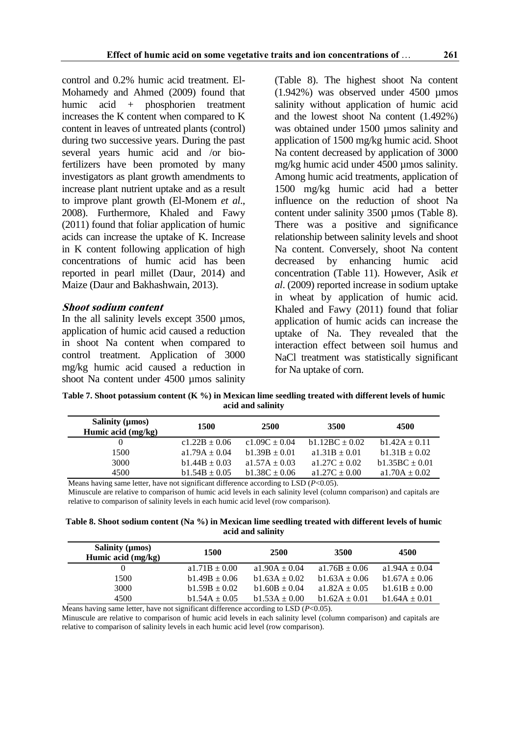control and 0.2% humic acid treatment. El-Mohamedy and Ahmed (2009) found that humic acid + phosphorien treatment increases the K content when compared to K content in leaves of untreated plants (control) during two successive years. During the past several years humic acid and /or biofertilizers have been promoted by many investigators as plant growth amendments to increase plant nutrient uptake and as a result to improve plant growth (El-Monem *et al*., 2008). Furthermore, Khaled and Fawy (2011) found that foliar application of humic acids can increase the uptake of K. Increase in K content following application of high concentrations of humic acid has been reported in pearl millet (Daur, 2014) and Maize (Daur and Bakhashwain, 2013).

#### **Shoot sodium content**

In the all salinity levels except 3500 µmos, application of humic acid caused a reduction in shoot Na content when compared to control treatment. Application of 3000 mg/kg humic acid caused a reduction in shoot Na content under 4500 umos salinity

(Table 8). The highest shoot Na content  $(1.942\%)$  was observed under 4500 umos salinity without application of humic acid and the lowest shoot Na content (1.492%) was obtained under 1500 µmos salinity and application of 1500 mg/kg humic acid. Shoot Na content decreased by application of 3000 mg/kg humic acid under 4500 µmos salinity. Among humic acid treatments, application of 1500 mg/kg humic acid had a better influence on the reduction of shoot Na content under salinity 3500 µmos (Table 8). There was a positive and significance relationship between salinity levels and shoot Na content. Conversely, shoot Na content decreased by enhancing humic acid concentration (Table 11). However, Asik *et al*. (2009) reported increase in sodium uptake in wheat by application of humic acid. Khaled and Fawy (2011) found that foliar application of humic acids can increase the uptake of Na. They revealed that the interaction effect between soil humus and NaCl treatment was statistically significant for Na uptake of corn.

**Table 7. Shoot potassium content (K %) in Mexican lime seedling treated with different levels of humic acid and salinity**

| Salinity ( $\mu$ mos)<br>Humic acid (mg/kg) | 1500              | <b>2500</b>       | 3500              | 4500              |  |
|---------------------------------------------|-------------------|-------------------|-------------------|-------------------|--|
|                                             | $c1.22B \pm 0.06$ | $c1.09C \pm 0.04$ | $b1.12BC + 0.02$  | $b1.42A \pm 0.11$ |  |
| 1500                                        | $a1.79A + 0.04$   | $b1.39B \pm 0.01$ | $a1.31B \pm 0.01$ | $b1.31B + 0.02$   |  |
| 3000                                        | $b1.44B \pm 0.03$ | $a1.57A \pm 0.03$ | a1.27C $\pm$ 0.02 | $b1.35BC + 0.01$  |  |
| 4500                                        | $b1.54B \pm 0.05$ | $b1.38C \pm 0.06$ | $a1.27C \pm 0.00$ | a1.70A $\pm$ 0.02 |  |

Means having same letter, have not significant difference according to LSD (*P*<0.05). Minuscule are relative to comparison of humic acid levels in each salinity level (column comparison) and capitals are relative to comparison of salinity levels in each humic acid level (row comparison).

**Table 8. Shoot sodium content (Na %) in Mexican lime seedling treated with different levels of humic acid and salinity**

| Salinity ( $\mu$ mos)<br>Humic acid (mg/kg) | 1500              | <b>2500</b>       | 3500               | 4500              |  |
|---------------------------------------------|-------------------|-------------------|--------------------|-------------------|--|
|                                             | $a1.71B \pm 0.00$ | $a1.90A + 0.04$   | $a1.76B \pm 0.06$  | a1.94A $\pm$ 0.04 |  |
| 1500                                        | $b1.49B \pm 0.06$ | $b1.63A + 0.02$   | $b1.63A + 0.06$    | $b1.67A + 0.06$   |  |
| 3000                                        | $b1.59B \pm 0.02$ | $b1.60B + 0.04$   | a $1.82A \pm 0.05$ | $b1.61B + 0.00$   |  |
| 4500                                        | $b1.54A \pm 0.05$ | $b1.53A \pm 0.00$ | $b1.62A \pm 0.01$  | $b1.64A \pm 0.01$ |  |

Means having same letter, have not significant difference according to LSD (*P*<0.05).

Minuscule are relative to comparison of humic acid levels in each salinity level (column comparison) and capitals are relative to comparison of salinity levels in each humic acid level (row comparison).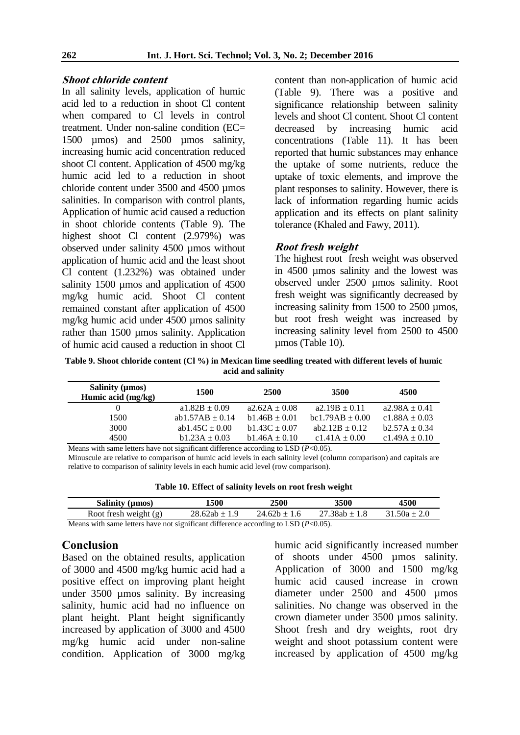## **Shoot chloride content**

In all salinity levels, application of humic acid led to a reduction in shoot Cl content when compared to Cl levels in control treatment. Under non-saline condition (EC= 1500 µmos) and 2500 µmos salinity, increasing humic acid concentration reduced shoot Cl content. Application of 4500 mg/kg humic acid led to a reduction in shoot chloride content under 3500 and 4500 umos salinities. In comparison with control plants, Application of humic acid caused a reduction in shoot chloride contents (Table 9). The highest shoot Cl content (2.979%) was observed under salinity 4500 µmos without application of humic acid and the least shoot Cl content (1.232%) was obtained under salinity 1500 µmos and application of 4500 mg/kg humic acid. Shoot Cl content remained constant after application of 4500 mg/kg humic acid under  $\overline{4500}$  umos salinity rather than 1500 umos salinity. Application of humic acid caused a reduction in shoot Cl

content than non-application of humic acid (Table 9). There was a positive and significance relationship between salinity levels and shoot Cl content. Shoot Cl content decreased by increasing humic acid concentrations (Table 11). It has been reported that humic substances may enhance the uptake of some nutrients, reduce the uptake of toxic elements, and improve the plant responses to salinity. However, there is lack of information regarding humic acids application and its effects on plant salinity tolerance (Khaled and Fawy, 2011).

## **Root fresh weight**

The highest root fresh weight was observed in 4500 µmos salinity and the lowest was observed under 2500 µmos salinity. Root fresh weight was significantly decreased by increasing salinity from 1500 to 2500 µmos, but root fresh weight was increased by increasing salinity level from 2500 to 4500 µmos (Table 10).

**Table 9. Shoot chloride content (Cl %) in Mexican lime seedling treated with different levels of humic acid and salinity**

| Salinity ( $\mu$ mos)<br>Humic acid (mg/kg) | 1500                                                                                  | <b>2500</b>       | 3500                | 4500              |  |  |  |  |
|---------------------------------------------|---------------------------------------------------------------------------------------|-------------------|---------------------|-------------------|--|--|--|--|
|                                             | $a1.82B \pm 0.09$                                                                     | $a2.62A + 0.08$   | $a2.19B \pm 0.11$   | $a2.98A \pm 0.41$ |  |  |  |  |
| 1500                                        | ab1.57AB $\pm$ 0.14                                                                   | $b1.46B \pm 0.01$ | $bc1.79AB \pm 0.00$ | c1.88A $\pm$ 0.03 |  |  |  |  |
| 3000                                        | ab1.45C $\pm$ 0.00                                                                    | $b1.43C \pm 0.07$ | ab2.12B $\pm$ 0.12  | $b2.57A \pm 0.34$ |  |  |  |  |
| 4500                                        | $b1.23A \pm 0.03$                                                                     | $b1.46A \pm 0.10$ | $c1.41A \pm 0.00$   | c1.49A $\pm$ 0.10 |  |  |  |  |
|                                             | Means with same letters have not significant difference according to LSD $(P<0.05)$ . |                   |                     |                   |  |  |  |  |

Minuscule are relative to comparison of humic acid levels in each salinity level (column comparison) and capitals are relative to comparison of salinity levels in each humic acid level (row comparison).

**Table 10. Effect of salinity levels on root fresh weight**

| Salinity $(\mu \text{mos})$ | 1500          | 2500             | 3500              | 4500             |  |
|-----------------------------|---------------|------------------|-------------------|------------------|--|
| Root fresh weight $(g)$     | 28.62ab ± 1.9 | $24.62b \pm 1.6$ | $27.38ab \pm 1.8$ | $31.50a \pm 2.0$ |  |

Means with same letters have not significant difference according to LSD (*P*<0.05).

# **Conclusion**

Based on the obtained results, application of 3000 and 4500 mg/kg humic acid had a positive effect on improving plant height under 3500 µmos salinity. By increasing salinity, humic acid had no influence on plant height. Plant height significantly increased by application of 3000 and 4500 mg/kg humic acid under non-saline condition. Application of 3000 mg/kg humic acid significantly increased number of shoots under 4500 µmos salinity. Application of 3000 and 1500 mg/kg humic acid caused increase in crown diameter under 2500 and 4500 µmos salinities. No change was observed in the crown diameter under 3500 µmos salinity. Shoot fresh and dry weights, root dry weight and shoot potassium content were increased by application of 4500 mg/kg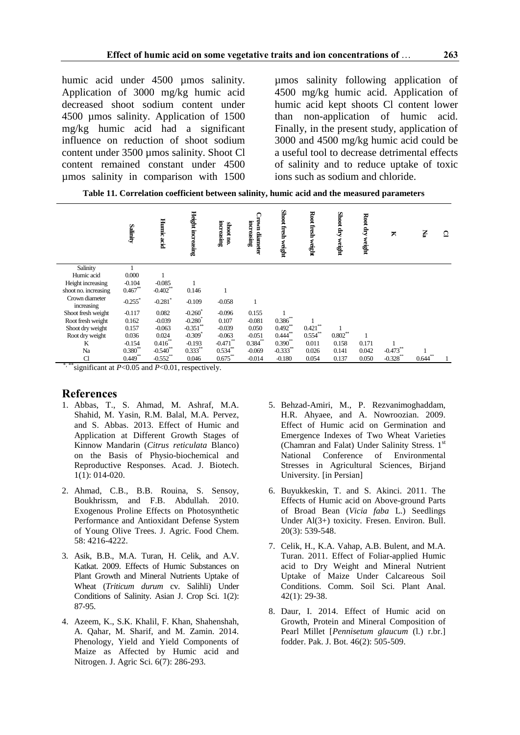humic acid under 4500 µmos salinity. Application of 3000 mg/kg humic acid decreased shoot sodium content under 4500 µmos salinity. Application of 1500 mg/kg humic acid had a significant influence on reduction of shoot sodium content under 3500 µmos salinity. Shoot Cl content remained constant under 4500 µmos salinity in comparison with 1500 µmos salinity following application of 4500 mg/kg humic acid. Application of humic acid kept shoots Cl content lower than non-application of humic acid. Finally, in the present study, application of 3000 and 4500 mg/kg humic acid could be a useful tool to decrease detrimental effects of salinity and to reduce uptake of toxic ions such as sodium and chloride.

**Table 11. Correlation coefficient between salinity, humic acid and the measured parameters**

|                              | Salinity    | Hunnic acid           | Height increasing     | increasing<br>shoot no. | Crown diameter<br>increasing | Shoot fresh weight     | Root fresh weight | Shoot dry<br>weight | Root dry<br>weight | ×           | P.         | ≏ |
|------------------------------|-------------|-----------------------|-----------------------|-------------------------|------------------------------|------------------------|-------------------|---------------------|--------------------|-------------|------------|---|
| Salinity                     |             |                       |                       |                         |                              |                        |                   |                     |                    |             |            |   |
| Humic acid                   | 0.000       |                       |                       |                         |                              |                        |                   |                     |                    |             |            |   |
| Height increasing            | $-0.104$    | $-0.085$              |                       |                         |                              |                        |                   |                     |                    |             |            |   |
| shoot no. increasing         | $0.467**$   | $-0.402$ **           | 0.146                 |                         |                              |                        |                   |                     |                    |             |            |   |
| Crown diameter<br>increasing | $-0.255$ *  | $-0.281$ <sup>*</sup> | $-0.109$              | $-0.058$                |                              |                        |                   |                     |                    |             |            |   |
| Shoot fresh weight           | $-0.117$    | 0.082                 | $-0.260$              | $-0.096$                | 0.155                        |                        |                   |                     |                    |             |            |   |
| Root fresh weight            | 0.162       | $-0.039$              | $-0.280$              | 0.107                   | $-0.081$                     | 0.386                  |                   |                     |                    |             |            |   |
| Shoot dry weight             | 0.157       | $-0.063$              | $-0.351$ **           | $-0.039$                | 0.050                        | $0.492$ **             | $0.421$ **        |                     |                    |             |            |   |
| Root dry weight              | 0.036       | 0.024                 | $-0.309$ <sup>*</sup> | $-0.063$                | $-0.051$                     | $0.444$ <sup>**</sup>  | $0.554$ **        | $0.802\sp{*}$       |                    |             |            |   |
| K                            | $-0.154$    | $0.416^{**}$          | $-0.193$              | $-0.471$ **             | $0.384^{**}$                 | $0.390**$              | 0.011             | 0.158               | 0.171              |             |            |   |
| Na                           | $0.380^{*}$ | $-0.540$              | $0.333***$            | $0.534$ **              | $-0.069$                     | $-0.333$ <sup>**</sup> | 0.026             | 0.141               | 0.042              | $-0.473**$  |            |   |
| $\mathcal{C}$                | $0.449**$   | $-0.552$ **           | 0.046                 | $0.675$ **              | $-0.014$                     | $-0.180$               | 0.054             | 0.137               | 0.050              | $-0.328$ ** | $0.644***$ |   |

\*,\*\*\*significant at *P*<0.05 and *P*<0.01, respectively.

## **References**

- 1. Abbas, T., S. Ahmad, M. Ashraf, M.A. Shahid, M. Yasin, R.M. Balal, M.A. Pervez, and S. Abbas. 2013. Effect of Humic and Application at Different Growth Stages of Kinnow Mandarin (*Citrus reticulata* Blanco) on the Basis of Physio-biochemical and Reproductive Responses. Acad. J. Biotech. 1(1): 014-020.
- 2. Ahmad, C.B., B.B. Rouina, S. Sensoy, Boukhrissm, and F.B. Abdullah. 2010. Exogenous Proline Effects on Photosynthetic Performance and Antioxidant Defense System of Young Olive Trees. J. Agric. Food Chem. 58: 4216-4222.
- 3. Asik, B.B., M.A. Turan, H. Celik, and A.V. Katkat. 2009. Effects of Humic Substances on Plant Growth and Mineral Nutrients Uptake of Wheat (*Triticum durum* cv. Salihli) Under Conditions of Salinity. Asian J. Crop Sci. 1(2): 87-95.
- 4. Azeem, K., S.K. Khalil, F. Khan, Shahenshah, A. Qahar, M. Sharif, and M. Zamin. 2014. Phenology, Yield and Yield Components of Maize as Affected by Humic acid and Nitrogen. J. Agric Sci. 6(7): 286-293.
- 5. Behzad-Amiri, M., P. Rezvanimoghaddam, H.R. Ahyaee, and A. Nowroozian. 2009. Effect of Humic acid on Germination and Emergence Indexes of Two Wheat Varieties (Chamran and Falat) Under Salinity Stress. 1st National Conference of Environmental Stresses in Agricultural Sciences, Birjand University. [in Persian]
- 6. Buyukkeskin, T. and S. Akinci. 2011. The Effects of Humic acid on Above-ground Parts of Broad Bean (*Vicia faba* L.) Seedlings Under Al(3+) toxicity. Fresen. Environ. Bull. 20(3): 539-548.
- 7. Celik, H., K.A. Vahap, A.B. Bulent, and M.A. Turan. 2011. Effect of Foliar-applied Humic acid to Dry Weight and Mineral Nutrient Uptake of Maize Under Calcareous Soil Conditions. Comm. Soil Sci. Plant Anal. 42(1): 29-38.
- 8. Daur, I. 2014. Effect of Humic acid on Growth, Protein and Mineral Composition of Pearl Millet [*Pennisetum glaucum* (l.) r.br.] fodder. Pak. J. Bot. 46(2): 505-509.